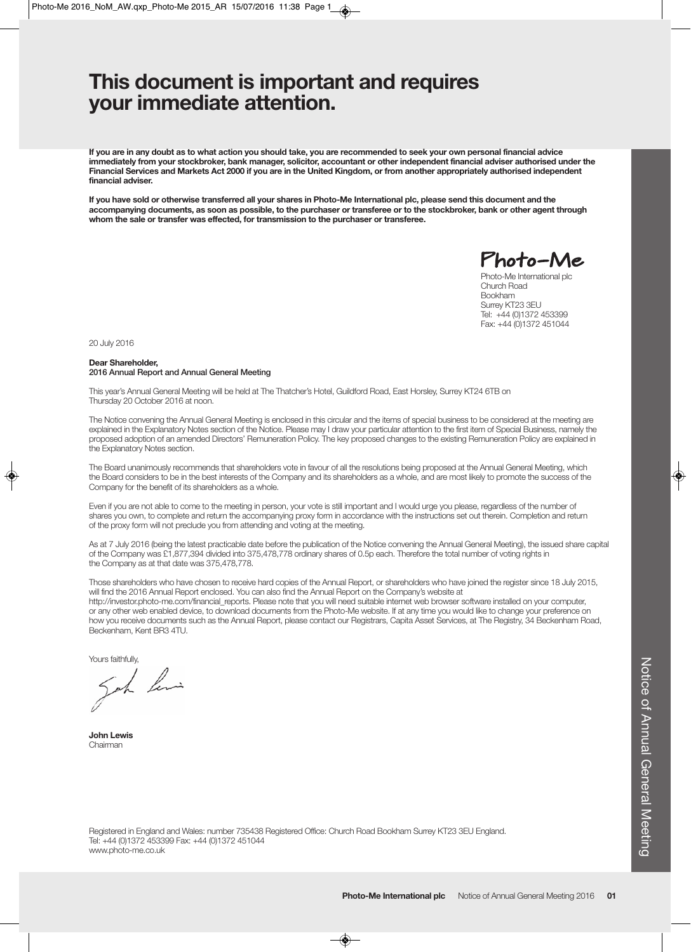### **This document is important and requires your immediate attention.**

**If you are in any doubt as to what action you should take, you are recommended to seek your own personal financial advice immediately from your stockbroker, bank manager, solicitor, accountant or other independent financial adviser authorised under the Financial Services and Markets Act 2000 if you are in the United Kingdom, or from another appropriately authorised independent financial adviser.**

**If you have sold or otherwise transferred all your shares in Photo-Me International plc, please send this document and the accompanying documents, as soon as possible, to the purchaser or transferee or to the stockbroker, bank or other agent through whom the sale or transfer was effected, for transmission to the purchaser or transferee.**

Photo-Me

Photo-Me International pl Church Road Bookham Surrey KT23 3EU Tel: +44 (0)1372 453399 Fax: +44 (0)1372 451044

20 July 2016

#### **Dear Shareholder, 2016 Annual Report and Annual General Meeting**

This year's Annual General Meeting will be held at The Thatcher's Hotel, Guildford Road, East Horsley, Surrey KT24 6TB on Thursday 20 October 2016 at noon.

The Notice convening the Annual General Meeting is enclosed in this circular and the items of special business to be considered at the meeting are explained in the Explanatory Notes section of the Notice. Please may I draw your particular attention to the first item of Special Business, namely the proposed adoption of an amended Directors' Remuneration Policy. The key proposed changes to the existing Remuneration Policy are explained in the Explanatory Notes section.

The Board unanimously recommends that shareholders vote in favour of all the resolutions being proposed at the Annual General Meeting, which the Board considers to be in the best interests of the Company and its shareholders as a whole, and are most likely to promote the success of the Company for the benefit of its shareholders as a whole.

Even if you are not able to come to the meeting in person, your vote is still important and I would urge you please, regardless of the number of shares you own, to complete and return the accompanying proxy form in accordance with the instructions set out therein. Completion and return of the proxy form will not preclude you from attending and voting at the meeting.

As at 7 July 2016 (being the latest practicable date before the publication of the Notice convening the Annual General Meeting), the issued share capital of the Company was £1,877,394 divided into 375,478,778 ordinary shares of 0.5p each. Therefore the total number of voting rights in the Company as at that date was 375,478,778.

Those shareholders who have chosen to receive hard copies of the Annual Report, or shareholders who have joined the register since 18 July 2015, will find the 2016 Annual Report enclosed. You can also find the Annual Report on the Company's website at http://investor.photo-me.com/financial\_reports. Please note that you will need suitable internet web browser software installed on your computer, or any other web enabled device, to download documents from the Photo-Me website. If at any time you would like to change your preference on how you receive documents such as the Annual Report, please contact our Registrars, Capita Asset Services, at The Registry, 34 Beckenham Road, Beckenham, Kent BR3 4TU.

Yours faithfully,<br>Soh lemi

**John Lewis** Chairman

Registered in England and Wales: number 735438 Registered Office: Church Road Bookham Surrey KT23 3EU England. Tel: +44 (0)1372 453399 Fax: +44 (0)1372 451044 www.photo-me.co.uk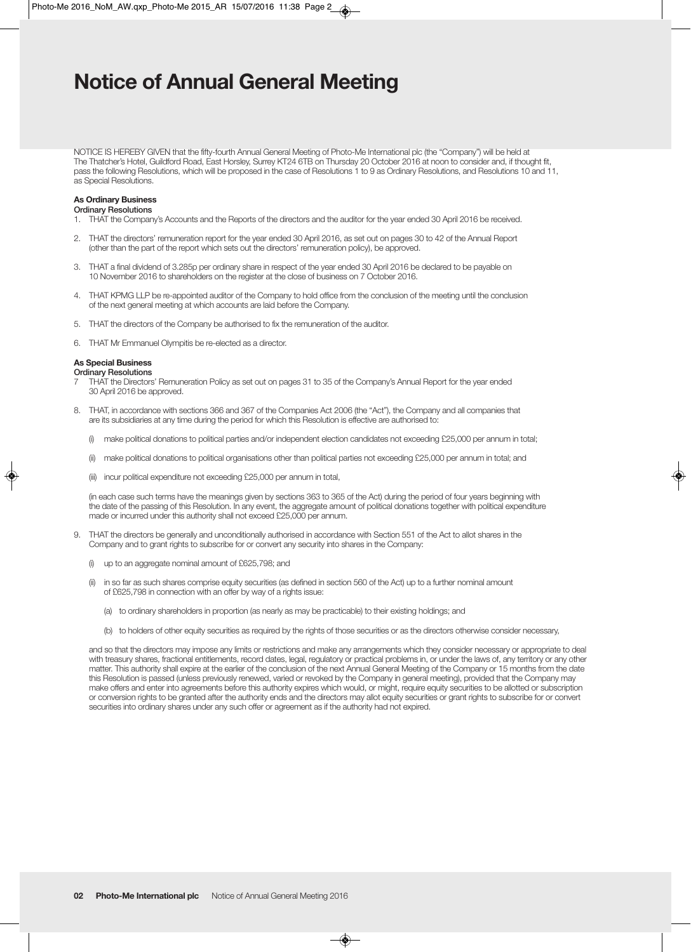### **Notice of Annual General Meeting**

NOTICE IS HEREBY GIVEN that the fifty-fourth Annual General Meeting of Photo-Me International plc (the "Company") will be held at The Thatcher's Hotel, Guildford Road, East Horsley, Surrey KT24 6TB on Thursday 20 October 2016 at noon to consider and, if thought fit, pass the following Resolutions, which will be proposed in the case of Resolutions 1 to 9 as Ordinary Resolutions, and Resolutions 10 and 11, as Special Resolutions.

#### **As Ordinary Business**

- **Ordinary Resolutions**
- 1. THAT the Company's Accounts and the Reports of the directors and the auditor for the year ended 30 April 2016 be received.
- 2. THAT the directors' remuneration report for the year ended 30 April 2016, as set out on pages 30 to 42 of the Annual Report (other than the part of the report which sets out the directors' remuneration policy), be approved.
- 3. THAT a final dividend of 3.285p per ordinary share in respect of the year ended 30 April 2016 be declared to be payable on 10 November 2016 to shareholders on the register at the close of business on 7 October 2016.
- 4. THAT KPMG LLP be re-appointed auditor of the Company to hold office from the conclusion of the meeting until the conclusion of the next general meeting at which accounts are laid before the Company.
- 5. THAT the directors of the Company be authorised to fix the remuneration of the auditor.
- 6. THAT Mr Emmanuel Olympitis be re-elected as a director.

#### **As Special Business**

#### **Ordinary Resolutions**

- 7 THAT the Directors' Remuneration Policy as set out on pages 31 to 35 of the Company's Annual Report for the year ended 30 April 2016 be approved.
- 8. THAT, in accordance with sections 366 and 367 of the Companies Act 2006 (the "Act"), the Company and all companies that are its subsidiaries at any time during the period for which this Resolution is effective are authorised to:
	- (i) make political donations to political parties and/or independent election candidates not exceeding £25,000 per annum in total;
	- (ii) make political donations to political organisations other than political parties not exceeding £25,000 per annum in total; and
	- (iii) incur political expenditure not exceeding £25,000 per annum in total,

(in each case such terms have the meanings given by sections 363 to 365 of the Act) during the period of four years beginning with the date of the passing of this Resolution. In any event, the aggregate amount of political donations together with political expenditure made or incurred under this authority shall not exceed £25,000 per annum.

- 9. THAT the directors be generally and unconditionally authorised in accordance with Section 551 of the Act to allot shares in the Company and to grant rights to subscribe for or convert any security into shares in the Company:
	- (i) up to an aggregate nominal amount of £625,798; and
	- (ii) in so far as such shares comprise equity securities (as defined in section 560 of the Act) up to a further nominal amount of £625,798 in connection with an offer by way of a rights issue:
		- (a) to ordinary shareholders in proportion (as nearly as may be practicable) to their existing holdings; and
		- (b) to holders of other equity securities as required by the rights of those securities or as the directors otherwise consider necessary,

and so that the directors may impose any limits or restrictions and make any arrangements which they consider necessary or appropriate to deal with treasury shares, fractional entitlements, record dates, legal, regulatory or practical problems in, or under the laws of, any territory or any other matter. This authority shall expire at the earlier of the conclusion of the next Annual General Meeting of the Company or 15 months from the date this Resolution is passed (unless previously renewed, varied or revoked by the Company in general meeting), provided that the Company may make offers and enter into agreements before this authority expires which would, or might, require equity securities to be allotted or subscription or conversion rights to be granted after the authority ends and the directors may allot equity securities or grant rights to subscribe for or convert securities into ordinary shares under any such offer or agreement as if the authority had not expired.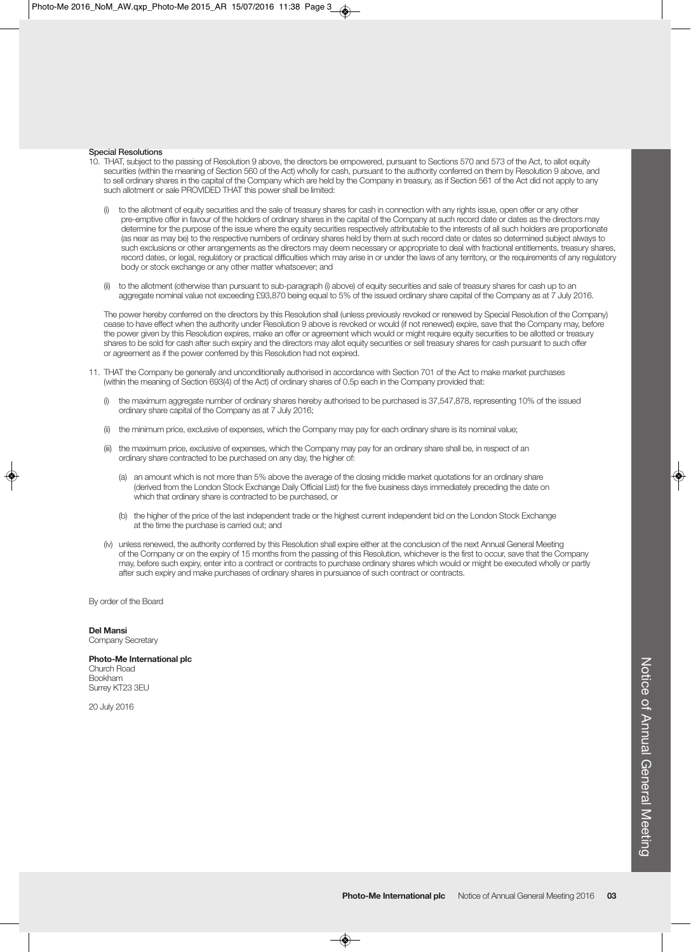#### **Special Resolutions**

- 10. THAT, subject to the passing of Resolution 9 above, the directors be empowered, pursuant to Sections 570 and 573 of the Act, to allot equity securities (within the meaning of Section 560 of the Act) wholly for cash, pursuant to the authority conferred on them by Resolution 9 above, and to sell ordinary shares in the capital of the Company which are held by the Company in treasury, as if Section 561 of the Act did not apply to any such allotment or sale PROVIDED THAT this power shall be limited:
	- (i) to the allotment of equity securities and the sale of treasury shares for cash in connection with any rights issue, open offer or any other pre-emptive offer in favour of the holders of ordinary shares in the capital of the Company at such record date or dates as the directors may determine for the purpose of the issue where the equity securities respectively attributable to the interests of all such holders are proportionate (as near as may be) to the respective numbers of ordinary shares held by them at such record date or dates so determined subject always to such exclusions or other arrangements as the directors may deem necessary or appropriate to deal with fractional entitlements, treasury shares, record dates, or legal, regulatory or practical difficulties which may arise in or under the laws of any territory, or the requirements of any regulatory body or stock exchange or any other matter whatsoever; and
	- (ii) to the allotment (otherwise than pursuant to sub-paragraph (i) above) of equity securities and sale of treasury shares for cash up to an aggregate nominal value not exceeding £93,870 being equal to 5% of the issued ordinary share capital of the Company as at 7 July 2016.

The power hereby conferred on the directors by this Resolution shall (unless previously revoked or renewed by Special Resolution of the Company) cease to have effect when the authority under Resolution 9 above is revoked or would (if not renewed) expire, save that the Company may, before the power given by this Resolution expires, make an offer or agreement which would or might require equity securities to be allotted or treasury shares to be sold for cash after such expiry and the directors may allot equity securities or sell treasury shares for cash pursuant to such offer or agreement as if the power conferred by this Resolution had not expired.

- 11. THAT the Company be generally and unconditionally authorised in accordance with Section 701 of the Act to make market purchases (within the meaning of Section 693(4) of the Act) of ordinary shares of 0.5p each in the Company provided that:
	- (i) the maximum aggregate number of ordinary shares hereby authorised to be purchased is 37,547,878, representing 10% of the issued ordinary share capital of the Company as at 7 July 2016;
	- (ii) the minimum price, exclusive of expenses, which the Company may pay for each ordinary share is its nominal value;
	- (iii) the maximum price, exclusive of expenses, which the Company may pay for an ordinary share shall be, in respect of an ordinary share contracted to be purchased on any day, the higher of:
		- (a) an amount which is not more than 5% above the average of the closing middle market quotations for an ordinary share (derived from the London Stock Exchange Daily Official List) for the five business days immediately preceding the date on which that ordinary share is contracted to be purchased, or
		- (b) the higher of the price of the last independent trade or the highest current independent bid on the London Stock Exchange at the time the purchase is carried out; and
	- (iv) unless renewed, the authority conferred by this Resolution shall expire either at the conclusion of the next Annual General Meeting of the Company or on the expiry of 15 months from the passing of this Resolution, whichever is the first to occur, save that the Company may, before such expiry, enter into a contract or contracts to purchase ordinary shares which would or might be executed wholly or partly after such expiry and make purchases of ordinary shares in pursuance of such contract or contracts.

By order of the Board

### **Del Mansi**

Company Secretary

#### **Photo-Me International plc**  Church Road Bookham

Surrey KT23 3EU

20 July 2016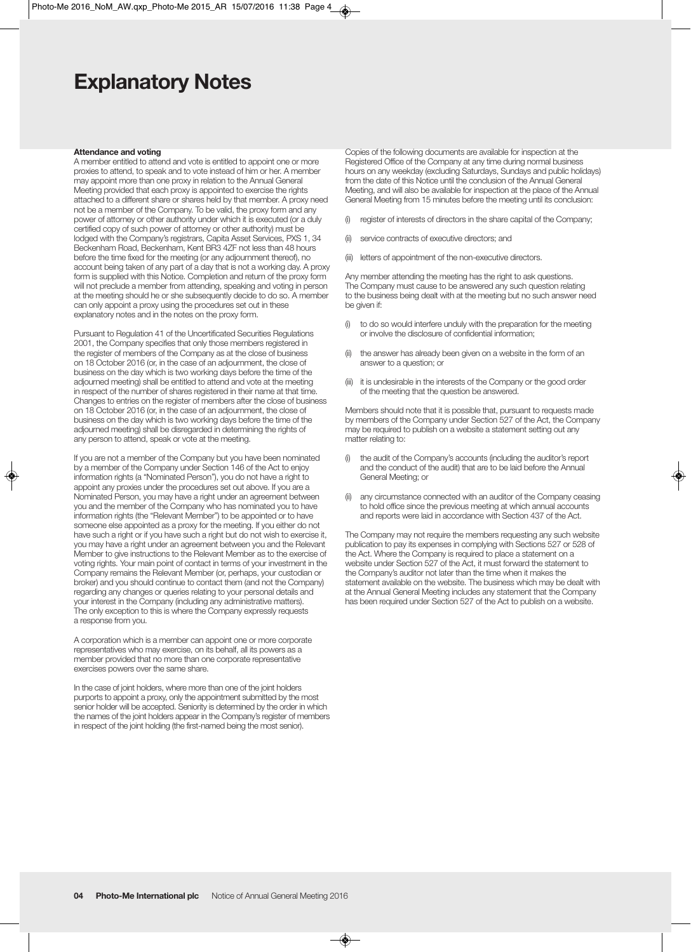#### **Attendance and voting**

A member entitled to attend and vote is entitled to appoint one or more proxies to attend, to speak and to vote instead of him or her. A member may appoint more than one proxy in relation to the Annual General Meeting provided that each proxy is appointed to exercise the rights attached to a different share or shares held by that member. A proxy need not be a member of the Company. To be valid, the proxy form and any power of attorney or other authority under which it is executed (or a duly certified copy of such power of attorney or other authority) must be lodged with the Company's registrars, Capita Asset Services, PXS 1, 34 Beckenham Road, Beckenham, Kent BR3 4ZF not less than 48 hours before the time fixed for the meeting (or any adjournment thereof), no account being taken of any part of a day that is not a working day. A proxy form is supplied with this Notice. Completion and return of the proxy form will not preclude a member from attending, speaking and voting in person at the meeting should he or she subsequently decide to do so. A member can only appoint a proxy using the procedures set out in these explanatory notes and in the notes on the proxy form.

Pursuant to Regulation 41 of the Uncertificated Securities Regulations 2001, the Company specifies that only those members registered in the register of members of the Company as at the close of business on 18 October 2016 (or, in the case of an adjournment, the close of business on the day which is two working days before the time of the adjourned meeting) shall be entitled to attend and vote at the meeting in respect of the number of shares registered in their name at that time. Changes to entries on the register of members after the close of business on 18 October 2016 (or, in the case of an adjournment, the close of business on the day which is two working days before the time of the adjourned meeting) shall be disregarded in determining the rights of any person to attend, speak or vote at the meeting.

If you are not a member of the Company but you have been nominated by a member of the Company under Section 146 of the Act to enjoy information rights (a "Nominated Person"), you do not have a right to appoint any proxies under the procedures set out above. If you are a Nominated Person, you may have a right under an agreement between you and the member of the Company who has nominated you to have information rights (the "Relevant Member") to be appointed or to have someone else appointed as a proxy for the meeting. If you either do not have such a right or if you have such a right but do not wish to exercise it, you may have a right under an agreement between you and the Relevant Member to give instructions to the Relevant Member as to the exercise of voting rights. Your main point of contact in terms of your investment in the Company remains the Relevant Member (or, perhaps, your custodian or broker) and you should continue to contact them (and not the Company) regarding any changes or queries relating to your personal details and your interest in the Company (including any administrative matters). The only exception to this is where the Company expressly requests a response from you.

A corporation which is a member can appoint one or more corporate representatives who may exercise, on its behalf, all its powers as a member provided that no more than one corporate representative exercises powers over the same share.

In the case of joint holders, where more than one of the joint holders purports to appoint a proxy, only the appointment submitted by the most senior holder will be accepted. Seniority is determined by the order in which the names of the joint holders appear in the Company's register of members in respect of the joint holding (the first-named being the most senior).

Copies of the following documents are available for inspection at the Registered Office of the Company at any time during normal business hours on any weekday (excluding Saturdays, Sundays and public holidays) from the date of this Notice until the conclusion of the Annual General Meeting, and will also be available for inspection at the place of the Annual General Meeting from 15 minutes before the meeting until its conclusion:

- register of interests of directors in the share capital of the Company;
- service contracts of executive directors; and
- (iii) letters of appointment of the non-executive directors.

Any member attending the meeting has the right to ask questions. The Company must cause to be answered any such question relating to the business being dealt with at the meeting but no such answer need be given if:

- to do so would interfere unduly with the preparation for the meeting or involve the disclosure of confidential information;
- the answer has already been given on a website in the form of an answer to a question; or
- (iii) it is undesirable in the interests of the Company or the good order of the meeting that the question be answered.

Members should note that it is possible that, pursuant to requests made by members of the Company under Section 527 of the Act, the Company may be required to publish on a website a statement setting out any matter relating to:

- (i) the audit of the Company's accounts (including the auditor's report and the conduct of the audit) that are to be laid before the Annual General Meeting; or
- (ii) any circumstance connected with an auditor of the Company ceasing to hold office since the previous meeting at which annual accounts and reports were laid in accordance with Section 437 of the Act.

The Company may not require the members requesting any such website publication to pay its expenses in complying with Sections 527 or 528 of the Act. Where the Company is required to place a statement on a website under Section 527 of the Act, it must forward the statement to the Company's auditor not later than the time when it makes the statement available on the website. The business which may be dealt with at the Annual General Meeting includes any statement that the Company has been required under Section 527 of the Act to publish on a website.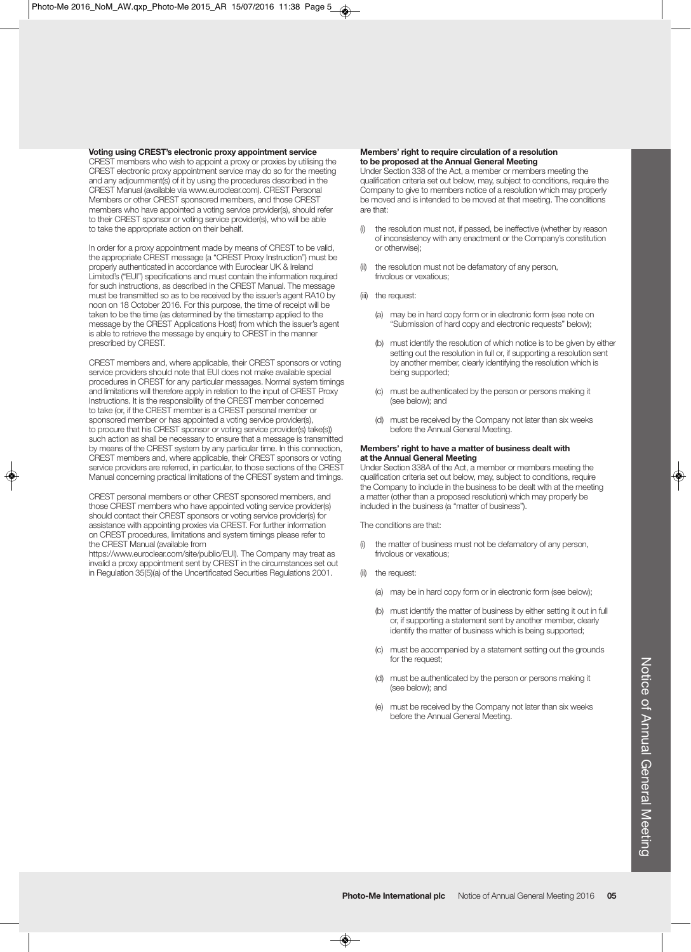#### **Voting using CREST's electronic proxy appointment service**

CREST members who wish to appoint a proxy or proxies by utilising the CREST electronic proxy appointment service may do so for the meeting and any adjournment(s) of it by using the procedures described in the CREST Manual (available via www.euroclear.com). CREST Personal Members or other CREST sponsored members, and those CREST members who have appointed a voting service provider(s), should refer to their CREST sponsor or voting service provider(s), who will be able to take the appropriate action on their behalf.

In order for a proxy appointment made by means of CREST to be valid, the appropriate CREST message (a "CREST Proxy Instruction") must be properly authenticated in accordance with Euroclear UK & Ireland Limited's ("EUI") specifications and must contain the information required for such instructions, as described in the CREST Manual. The message must be transmitted so as to be received by the issuer's agent RA10 by noon on 18 October 2016. For this purpose, the time of receipt will be taken to be the time (as determined by the timestamp applied to the message by the CREST Applications Host) from which the issuer's agent is able to retrieve the message by enquiry to CREST in the manner prescribed by CREST.

CREST members and, where applicable, their CREST sponsors or voting service providers should note that EUI does not make available special procedures in CREST for any particular messages. Normal system timings and limitations will therefore apply in relation to the input of CREST Proxy Instructions. It is the responsibility of the CREST member concerned to take (or, if the CREST member is a CREST personal member or sponsored member or has appointed a voting service provider(s), to procure that his CREST sponsor or voting service provider(s) take(s)) such action as shall be necessary to ensure that a message is transmitted by means of the CREST system by any particular time. In this connection, CREST members and, where applicable, their CREST sponsors or voting service providers are referred, in particular, to those sections of the CREST Manual concerning practical limitations of the CREST system and timings.

CREST personal members or other CREST sponsored members, and those CREST members who have appointed voting service provider(s) should contact their CREST sponsors or voting service provider(s) for assistance with appointing proxies via CREST. For further information on CREST procedures, limitations and system timings please refer to the CREST Manual (available from

https://www.euroclear.com/site/public/EUI). The Company may treat as invalid a proxy appointment sent by CREST in the circumstances set out in Regulation 35(5)(a) of the Uncertificated Securities Regulations 2001.

#### **Members' right to require circulation of a resolution to be proposed at the Annual General Meeting**

Under Section 338 of the Act, a member or members meeting the qualification criteria set out below, may, subject to conditions, require the Company to give to members notice of a resolution which may properly be moved and is intended to be moved at that meeting. The conditions are that:

- the resolution must not, if passed, be ineffective (whether by reason of inconsistency with any enactment or the Company's constitution or otherwise);
- the resolution must not be defamatory of any person, frivolous or vexatious;
- (iii) the request:
	- (a) may be in hard copy form or in electronic form (see note on "Submission of hard copy and electronic requests" below);
	- (b) must identify the resolution of which notice is to be given by either setting out the resolution in full or, if supporting a resolution sent by another member, clearly identifying the resolution which is being supported;
	- (c) must be authenticated by the person or persons making it (see below); and
	- (d) must be received by the Company not later than six weeks before the Annual General Meeting.

#### **Members' right to have a matter of business dealt with at the Annual General Meeting**

Under Section 338A of the Act, a member or members meeting the qualification criteria set out below, may, subject to conditions, require the Company to include in the business to be dealt with at the meeting a matter (other than a proposed resolution) which may properly be included in the business (a "matter of business").

The conditions are that:

- the matter of business must not be defamatory of any person, frivolous or vexatious;
- (ii) the request:
	- (a) may be in hard copy form or in electronic form (see below);
	- (b) must identify the matter of business by either setting it out in full or, if supporting a statement sent by another member, clearly identify the matter of business which is being supported;
	- (c) must be accompanied by a statement setting out the grounds for the request;
	- (d) must be authenticated by the person or persons making it (see below); and
	- (e) must be received by the Company not later than six weeks before the Annual General Meeting.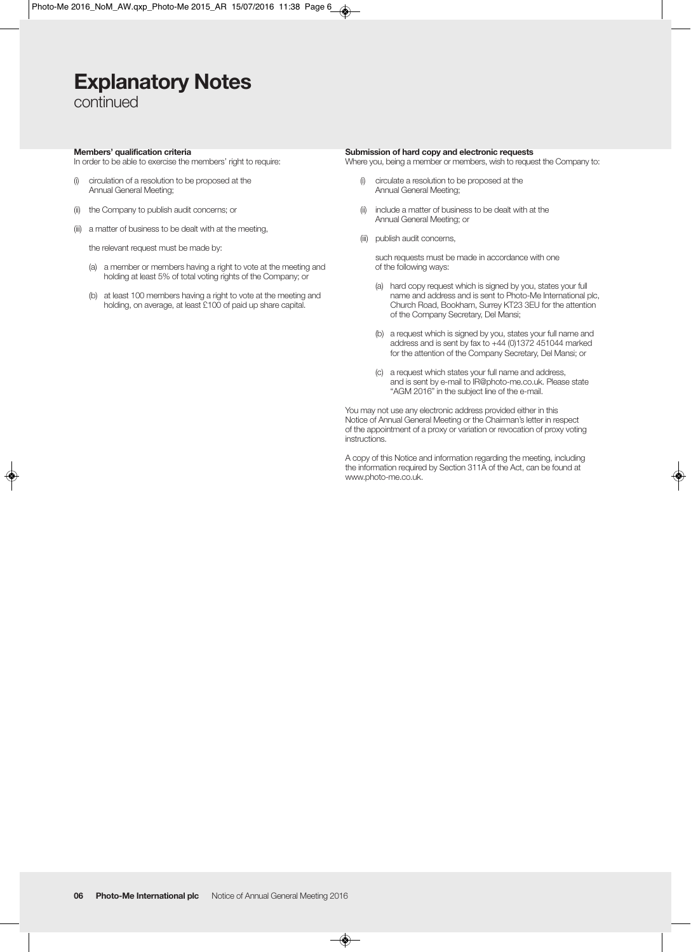continued

#### **Members' qualification criteria**

In order to be able to exercise the members' right to require:

- (i) circulation of a resolution to be proposed at the Annual General Meeting;
- (ii) the Company to publish audit concerns; or
- (iii) a matter of business to be dealt with at the meeting,

the relevant request must be made by:

- (a) a member or members having a right to vote at the meeting and holding at least 5% of total voting rights of the Company; or
- (b) at least 100 members having a right to vote at the meeting and holding, on average, at least £100 of paid up share capital.

#### **Submission of hard copy and electronic requests**

Where you, being a member or members, wish to request the Company to:

- (i) circulate a resolution to be proposed at the Annual General Meeting;
- (ii) include a matter of business to be dealt with at the Annual General Meeting; or
- (iii) publish audit concerns,

such requests must be made in accordance with one of the following ways:

- (a) hard copy request which is signed by you, states your full name and address and is sent to Photo-Me International plc, Church Road, Bookham, Surrey KT23 3EU for the attention of the Company Secretary, Del Mansi;
- (b) a request which is signed by you, states your full name and address and is sent by fax to +44 (0)1372 451044 marked for the attention of the Company Secretary, Del Mansi; or
- (c) a request which states your full name and address, and is sent by e-mail to IR@photo-me.co.uk. Please state "AGM 2016" in the subject line of the e-mail.

You may not use any electronic address provided either in this Notice of Annual General Meeting or the Chairman's letter in respect of the appointment of a proxy or variation or revocation of proxy voting instructions.

A copy of this Notice and information regarding the meeting, including the information required by Section 311A of the Act, can be found at www.photo-me.co.uk.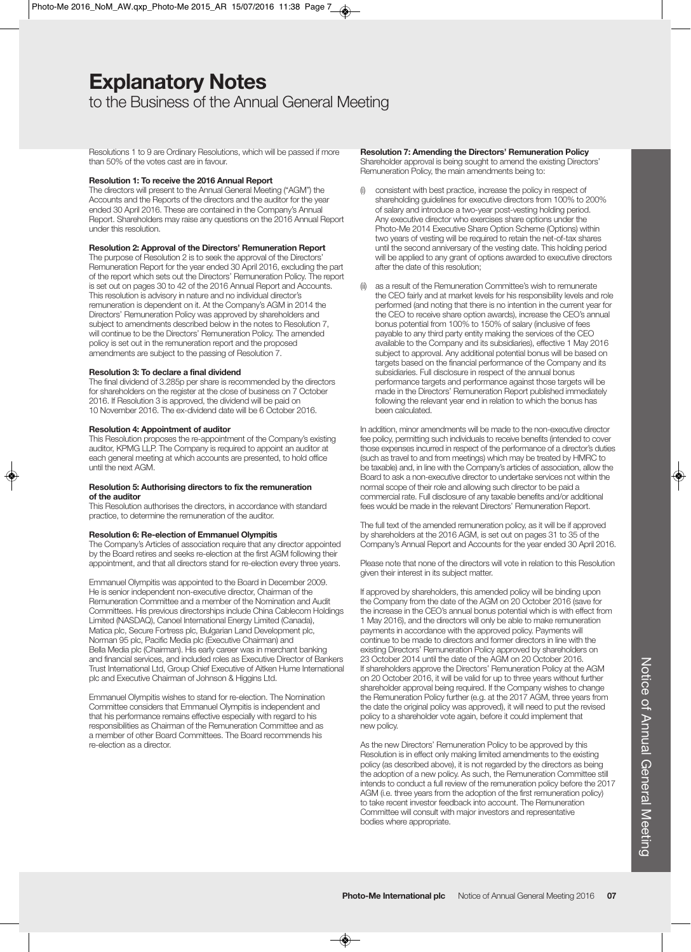to the Business of the Annual General Meeting

Resolutions 1 to 9 are Ordinary Resolutions, which will be passed if more than 50% of the votes cast are in favour.

#### **Resolution 1: To receive the 2016 Annual Report**

The directors will present to the Annual General Meeting ("AGM") the Accounts and the Reports of the directors and the auditor for the year ended 30 April 2016. These are contained in the Company's Annual Report. Shareholders may raise any questions on the 2016 Annual Report under this resolution.

#### **Resolution 2: Approval of the Directors' Remuneration Report**

The purpose of Resolution 2 is to seek the approval of the Directors Remuneration Report for the year ended 30 April 2016, excluding the part of the report which sets out the Directors' Remuneration Policy. The report is set out on pages 30 to 42 of the 2016 Annual Report and Accounts. This resolution is advisory in nature and no individual director's remuneration is dependent on it. At the Company's AGM in 2014 the Directors' Remuneration Policy was approved by shareholders and subject to amendments described below in the notes to Resolution 7, will continue to be the Directors' Remuneration Policy. The amended policy is set out in the remuneration report and the proposed amendments are subject to the passing of Resolution 7.

#### **Resolution 3: To declare a final dividend**

The final dividend of 3.285p per share is recommended by the directors for shareholders on the register at the close of business on 7 October 2016. If Resolution 3 is approved, the dividend will be paid on 10 November 2016. The ex-dividend date will be 6 October 2016.

#### **Resolution 4: Appointment of auditor**

This Resolution proposes the re-appointment of the Company's existing auditor, KPMG LLP. The Company is required to appoint an auditor at each general meeting at which accounts are presented, to hold office until the next AGM.

#### **Resolution 5: Authorising directors to fix the remuneration of the auditor**

This Resolution authorises the directors, in accordance with standard practice, to determine the remuneration of the auditor.

#### **Resolution 6: Re-election of Emmanuel Olympitis**

The Company's Articles of association require that any director appointed by the Board retires and seeks re-election at the first AGM following their appointment, and that all directors stand for re-election every three years.

Emmanuel Olympitis was appointed to the Board in December 2009. He is senior independent non-executive director, Chairman of the Remuneration Committee and a member of the Nomination and Audit Committees. His previous directorships include China Cablecom Holdings Limited (NASDAQ), Canoel International Energy Limited (Canada), Matica plc, Secure Fortress plc, Bulgarian Land Development plc, Norman 95 plc, Pacific Media plc (Executive Chairman) and Bella Media plc (Chairman). His early career was in merchant banking and financial services, and included roles as Executive Director of Bankers Trust International Ltd, Group Chief Executive of Aitken Hume International plc and Executive Chairman of Johnson & Higgins Ltd.

Emmanuel Olympitis wishes to stand for re-election. The Nomination Committee considers that Emmanuel Olympitis is independent and that his performance remains effective especially with regard to his responsibilities as Chairman of the Remuneration Committee and as a member of other Board Committees. The Board recommends his re-election as a director.

**Resolution 7: Amending the Directors' Remuneration Policy** Shareholder approval is being sought to amend the existing Directors' Remuneration Policy, the main amendments being to:

- (i) consistent with best practice, increase the policy in respect of shareholding guidelines for executive directors from 100% to 200% of salary and introduce a two-year post-vesting holding period. Any executive director who exercises share options under the Photo-Me 2014 Executive Share Option Scheme (Options) within two years of vesting will be required to retain the net-of-tax shares until the second anniversary of the vesting date. This holding period will be applied to any grant of options awarded to executive directors after the date of this resolution;
- (ii) as a result of the Remuneration Committee's wish to remunerate the CEO fairly and at market levels for his responsibility levels and role performed (and noting that there is no intention in the current year for the CEO to receive share option awards), increase the CEO's annual bonus potential from 100% to 150% of salary (inclusive of fees payable to any third party entity making the services of the CEO available to the Company and its subsidiaries), effective 1 May 2016 subject to approval. Any additional potential bonus will be based on targets based on the financial performance of the Company and its subsidiaries. Full disclosure in respect of the annual bonus performance targets and performance against those targets will be made in the Directors' Remuneration Report published immediately following the relevant year end in relation to which the bonus has been calculated.

In addition, minor amendments will be made to the non-executive director fee policy, permitting such individuals to receive benefits (intended to cover those expenses incurred in respect of the performance of a director's duties (such as travel to and from meetings) which may be treated by HMRC to be taxable) and, in line with the Company's articles of association, allow the Board to ask a non-executive director to undertake services not within the normal scope of their role and allowing such director to be paid a commercial rate. Full disclosure of any taxable benefits and/or additional fees would be made in the relevant Directors' Remuneration Report.

The full text of the amended remuneration policy, as it will be if approved by shareholders at the 2016 AGM, is set out on pages 31 to 35 of the Company's Annual Report and Accounts for the year ended 30 April 2016.

Please note that none of the directors will vote in relation to this Resolution given their interest in its subject matter.

If approved by shareholders, this amended policy will be binding upon the Company from the date of the AGM on 20 October 2016 (save for the increase in the CEO's annual bonus potential which is with effect from 1 May 2016), and the directors will only be able to make remuneration payments in accordance with the approved policy. Payments will continue to be made to directors and former directors in line with the existing Directors' Remuneration Policy approved by shareholders on 23 October 2014 until the date of the AGM on 20 October 2016. If shareholders approve the Directors' Remuneration Policy at the AGM on 20 October 2016, it will be valid for up to three years without further shareholder approval being required. If the Company wishes to change the Remuneration Policy further (e.g. at the 2017 AGM, three years from the date the original policy was approved), it will need to put the revised policy to a shareholder vote again, before it could implement that new policy.

As the new Directors' Remuneration Policy to be approved by this Resolution is in effect only making limited amendments to the existing policy (as described above), it is not regarded by the directors as being the adoption of a new policy. As such, the Remuneration Committee still intends to conduct a full review of the remuneration policy before the 2017 AGM (i.e. three years from the adoption of the first remuneration policy) to take recent investor feedback into account. The Remuneration Committee will consult with major investors and representative bodies where appropriate.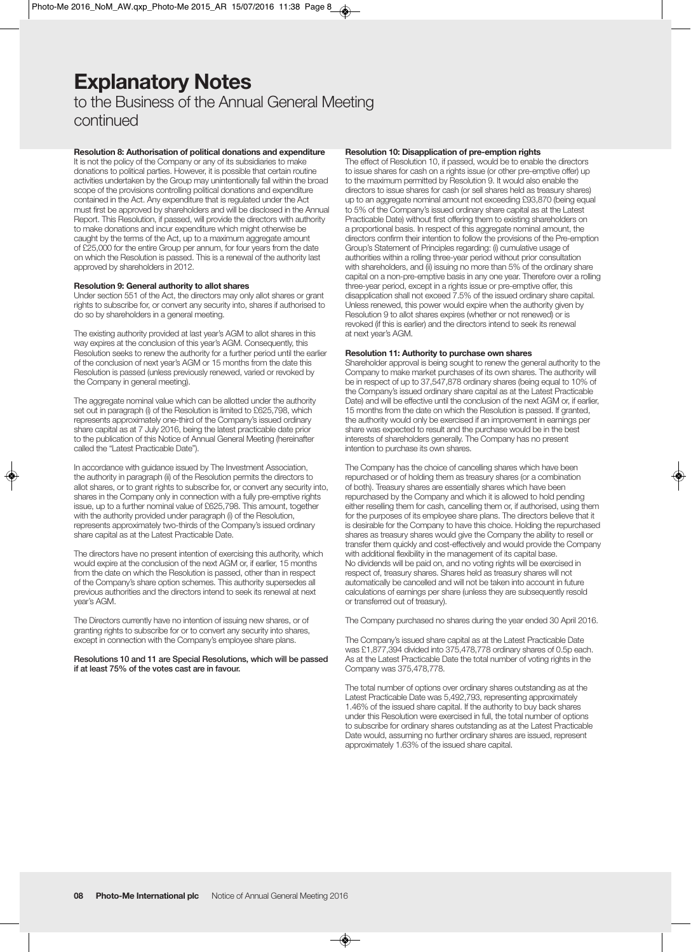### to the Business of the Annual General Meeting continued

#### **Resolution 8: Authorisation of political donations and expenditure**

It is not the policy of the Company or any of its subsidiaries to make donations to political parties. However, it is possible that certain routine activities undertaken by the Group may unintentionally fall within the broad scope of the provisions controlling political donations and expenditure contained in the Act. Any expenditure that is regulated under the Act must first be approved by shareholders and will be disclosed in the Annual Report. This Resolution, if passed, will provide the directors with authority to make donations and incur expenditure which might otherwise be caught by the terms of the Act, up to a maximum aggregate amount of £25,000 for the entire Group per annum, for four years from the date on which the Resolution is passed. This is a renewal of the authority last approved by shareholders in 2012.

#### **Resolution 9: General authority to allot shares**

Under section 551 of the Act, the directors may only allot shares or grant rights to subscribe for, or convert any security into, shares if authorised to do so by shareholders in a general meeting.

The existing authority provided at last year's AGM to allot shares in this way expires at the conclusion of this year's AGM. Consequently, this Resolution seeks to renew the authority for a further period until the earlier of the conclusion of next year's AGM or 15 months from the date this Resolution is passed (unless previously renewed, varied or revoked by the Company in general meeting).

The aggregate nominal value which can be allotted under the authority set out in paragraph (i) of the Resolution is limited to £625,798, which represents approximately one-third of the Company's issued ordinary share capital as at 7 July 2016, being the latest practicable date prior to the publication of this Notice of Annual General Meeting (hereinafter called the "Latest Practicable Date").

In accordance with guidance issued by The Investment Association, the authority in paragraph (ii) of the Resolution permits the directors to allot shares, or to grant rights to subscribe for, or convert any security into, shares in the Company only in connection with a fully pre-emptive rights issue, up to a further nominal value of £625,798. This amount, together with the authority provided under paragraph (i) of the Resolution, represents approximately two-thirds of the Company's issued ordinary share capital as at the Latest Practicable Date.

The directors have no present intention of exercising this authority, which would expire at the conclusion of the next AGM or, if earlier, 15 months from the date on which the Resolution is passed, other than in respect of the Company's share option schemes. This authority supersedes all previous authorities and the directors intend to seek its renewal at next year's AGM.

The Directors currently have no intention of issuing new shares, or of granting rights to subscribe for or to convert any security into shares, except in connection with the Company's employee share plans.

#### **Resolutions 10 and 11 are Special Resolutions, which will be passed if at least 75% of the votes cast are in favour.**

#### **Resolution 10: Disapplication of pre-emption rights**

The effect of Resolution 10, if passed, would be to enable the directors to issue shares for cash on a rights issue (or other pre-emptive offer) up to the maximum permitted by Resolution 9. It would also enable the directors to issue shares for cash (or sell shares held as treasury shares) up to an aggregate nominal amount not exceeding £93,870 (being equal to 5% of the Company's issued ordinary share capital as at the Latest Practicable Date) without first offering them to existing shareholders on a proportional basis. In respect of this aggregate nominal amount, the directors confirm their intention to follow the provisions of the Pre-emption Group's Statement of Principles regarding: (i) cumulative usage of authorities within a rolling three-year period without prior consultation with shareholders, and (ii) issuing no more than 5% of the ordinary share capital on a non-pre-emptive basis in any one year. Therefore over a rolling three-year period, except in a rights issue or pre-emptive offer, this disapplication shall not exceed 7.5% of the issued ordinary share capital. Unless renewed, this power would expire when the authority given by Resolution 9 to allot shares expires (whether or not renewed) or is revoked (if this is earlier) and the directors intend to seek its renewal at next year's AGM.

#### **Resolution 11: Authority to purchase own shares**

Shareholder approval is being sought to renew the general authority to the Company to make market purchases of its own shares. The authority will be in respect of up to 37,547,878 ordinary shares (being equal to 10% of the Company's issued ordinary share capital as at the Latest Practicable Date) and will be effective until the conclusion of the next AGM or, if earlier, 15 months from the date on which the Resolution is passed. If granted, the authority would only be exercised if an improvement in earnings per share was expected to result and the purchase would be in the best interests of shareholders generally. The Company has no present intention to purchase its own shares.

The Company has the choice of cancelling shares which have been repurchased or of holding them as treasury shares (or a combination of both). Treasury shares are essentially shares which have been repurchased by the Company and which it is allowed to hold pending either reselling them for cash, cancelling them or, if authorised, using them for the purposes of its employee share plans. The directors believe that it is desirable for the Company to have this choice. Holding the repurchased shares as treasury shares would give the Company the ability to resell or transfer them quickly and cost-effectively and would provide the Company with additional flexibility in the management of its capital base. No dividends will be paid on, and no voting rights will be exercised in respect of, treasury shares. Shares held as treasury shares will not automatically be cancelled and will not be taken into account in future calculations of earnings per share (unless they are subsequently resold or transferred out of treasury).

The Company purchased no shares during the year ended 30 April 2016.

The Company's issued share capital as at the Latest Practicable Date was £1,877,394 divided into 375,478,778 ordinary shares of 0.5p each. As at the Latest Practicable Date the total number of voting rights in the Company was 375,478,778.

The total number of options over ordinary shares outstanding as at the Latest Practicable Date was 5,492,793, representing approximately 1.46% of the issued share capital. If the authority to buy back shares under this Resolution were exercised in full, the total number of options to subscribe for ordinary shares outstanding as at the Latest Practicable Date would, assuming no further ordinary shares are issued, represent approximately 1.63% of the issued share capital.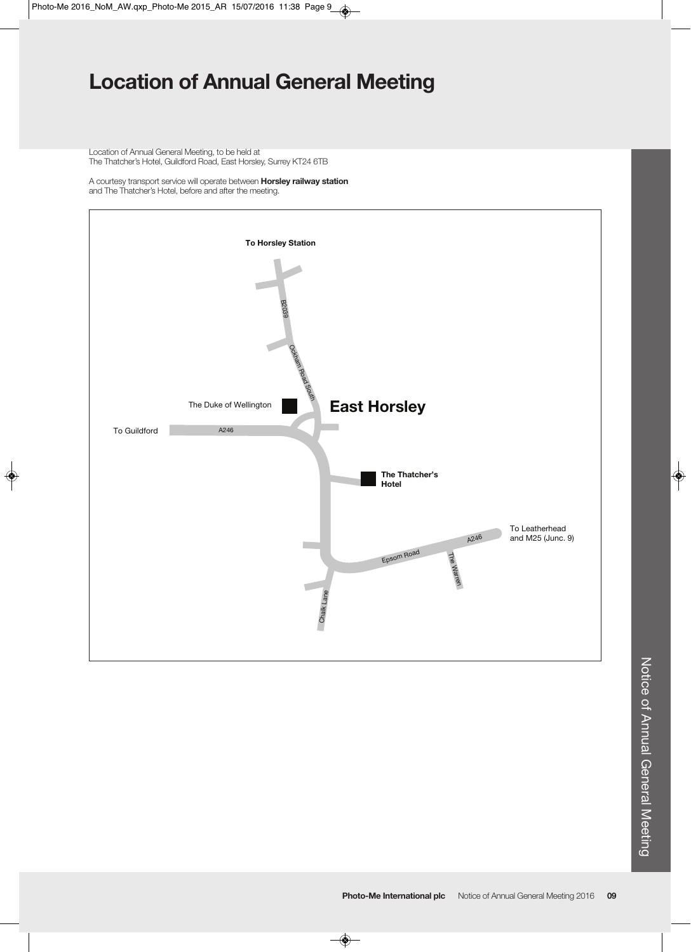## **Location of Annual General Meeting**

Location of Annual General Meeting, to be held at The Thatcher's Hotel, Guildford Road, East Horsley, Surrey KT24 6TB

A courtesy transport service will operate between **Horsley railway station** and The Thatcher's Hotel, before and after the meeting.

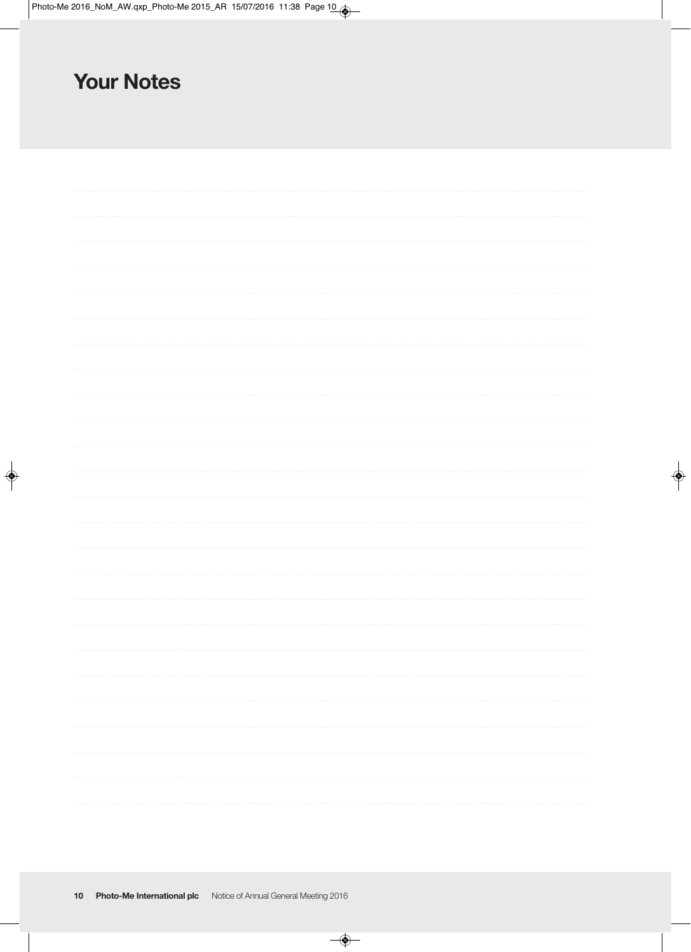## **Your Notes**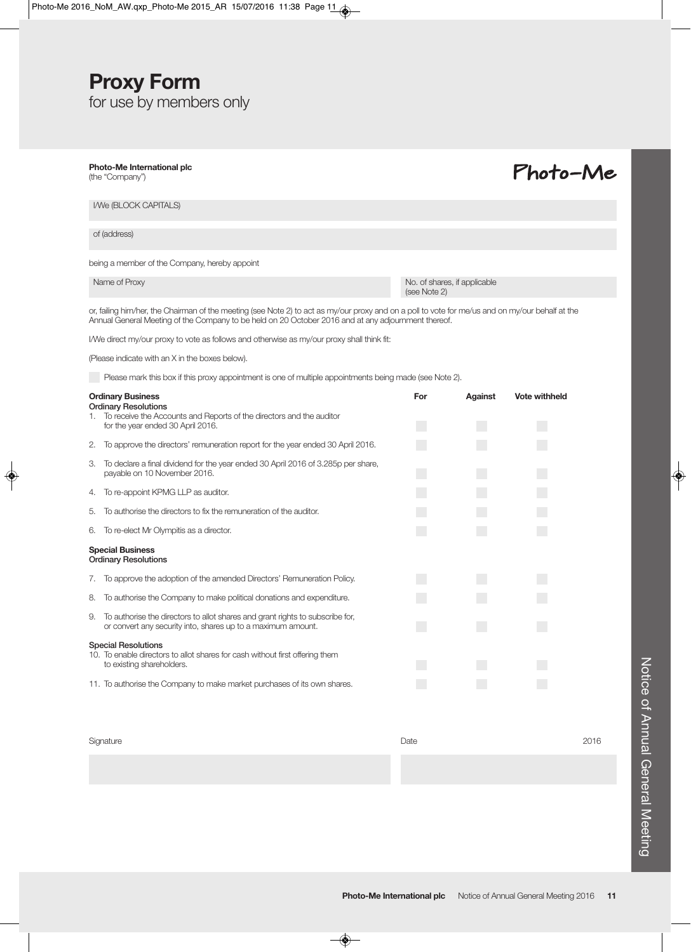### **Proxy Form**  for use by members only

|    | Photo-Me International plc<br>(the "Company")                                                                                                                                                                                                           |              |                              | Photo-Me             |
|----|---------------------------------------------------------------------------------------------------------------------------------------------------------------------------------------------------------------------------------------------------------|--------------|------------------------------|----------------------|
|    | I/We (BLOCK CAPITALS)                                                                                                                                                                                                                                   |              |                              |                      |
|    | of (address)                                                                                                                                                                                                                                            |              |                              |                      |
|    | being a member of the Company, hereby appoint                                                                                                                                                                                                           |              |                              |                      |
|    | Name of Proxy                                                                                                                                                                                                                                           | (see Note 2) | No. of shares, if applicable |                      |
|    | or, failing him/her, the Chairman of the meeting (see Note 2) to act as my/our proxy and on a poll to vote for me/us and on my/our behalf at the<br>Annual General Meeting of the Company to be held on 20 October 2016 and at any adjournment thereof. |              |                              |                      |
|    | I/We direct my/our proxy to vote as follows and otherwise as my/our proxy shall think fit:                                                                                                                                                              |              |                              |                      |
|    | (Please indicate with an X in the boxes below).                                                                                                                                                                                                         |              |                              |                      |
|    | Please mark this box if this proxy appointment is one of multiple appointments being made (see Note 2).                                                                                                                                                 |              |                              |                      |
|    | <b>Ordinary Business</b><br><b>Ordinary Resolutions</b><br>1. To receive the Accounts and Reports of the directors and the auditor<br>for the year ended 30 April 2016.                                                                                 | For          | Against                      | <b>Vote withheld</b> |
|    | 2. To approve the directors' remuneration report for the year ended 30 April 2016.                                                                                                                                                                      |              |                              |                      |
|    | 3. To declare a final dividend for the year ended 30 April 2016 of 3.285p per share,<br>payable on 10 November 2016.                                                                                                                                    |              |                              |                      |
|    | 4. To re-appoint KPMG LLP as auditor.                                                                                                                                                                                                                   |              |                              |                      |
| 5. | To authorise the directors to fix the remuneration of the auditor.                                                                                                                                                                                      |              |                              |                      |
|    | 6. To re-elect Mr Olympitis as a director.                                                                                                                                                                                                              |              |                              |                      |
|    | <b>Special Business</b><br><b>Ordinary Resolutions</b>                                                                                                                                                                                                  |              |                              |                      |
|    | 7. To approve the adoption of the amended Directors' Remuneration Policy.                                                                                                                                                                               |              |                              |                      |
|    | 8. To authorise the Company to make political donations and expenditure.                                                                                                                                                                                |              |                              |                      |
|    | 9. To authorise the directors to allot shares and grant rights to subscribe for,<br>or convert any security into, shares up to a maximum amount.                                                                                                        |              |                              |                      |
|    | <b>Special Resolutions</b><br>10. To enable directors to allot shares for cash without first offering them<br>to existing shareholders.                                                                                                                 |              |                              |                      |
|    | 11. To authorise the Company to make market purchases of its own shares.                                                                                                                                                                                |              |                              |                      |
|    |                                                                                                                                                                                                                                                         |              |                              |                      |

| Signature | Date | 2016 |
|-----------|------|------|
|           |      |      |